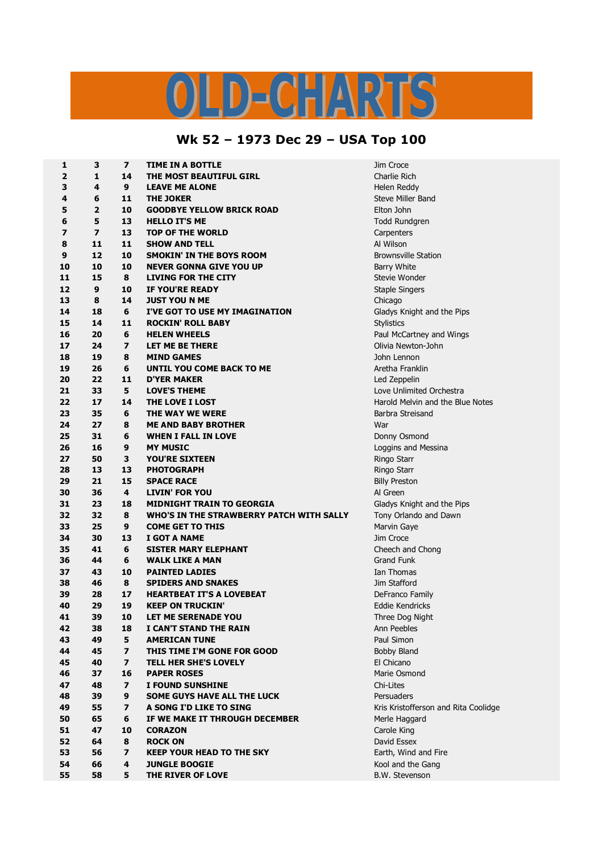## LD-CHARTS

## **Wk 52 – 1973 Dec 29 – USA Top 100**

| 1        | 3              | $\overline{\mathbf{z}}$ | <b>TIME IN A BOTTLE</b>                  | Jim Croce                            |
|----------|----------------|-------------------------|------------------------------------------|--------------------------------------|
| 2        | 1              | 14                      | THE MOST BEAUTIFUL GIRL                  | Charlie Rich                         |
| 3        | 4              | 9                       | <b>LEAVE ME ALONE</b>                    | Helen Reddy                          |
| 4        | 6              | 11                      | <b>THE JOKER</b>                         | Steve Miller Band                    |
| 5        | 2              | 10                      | <b>GOODBYE YELLOW BRICK ROAD</b>         | Elton John                           |
| 6        | 5              | 13                      | <b>HELLO IT'S ME</b>                     | <b>Todd Rundgren</b>                 |
| 7        | $\overline{ }$ | 13                      | <b>TOP OF THE WORLD</b>                  | Carpenters                           |
| 8        | 11             | 11                      | <b>SHOW AND TELL</b>                     | Al Wilson                            |
| 9        | 12             | 10                      | <b>SMOKIN' IN THE BOYS ROOM</b>          | <b>Brownsville Station</b>           |
| 10       | 10             | 10                      | <b>NEVER GONNA GIVE YOU UP</b>           | <b>Barry White</b>                   |
| 11       | 15             | 8                       | <b>LIVING FOR THE CITY</b>               | Stevie Wonder                        |
| 12       | 9              | 10                      | IF YOU'RE READY                          | <b>Staple Singers</b>                |
| 13       | 8              | 14                      | <b>JUST YOU N ME</b>                     | Chicago                              |
| 14       | 18             | 6                       | I'VE GOT TO USE MY IMAGINATION           | Gladys Knight and the Pips           |
| 15       | 14             | 11                      | <b>ROCKIN' ROLL BABY</b>                 | <b>Stylistics</b>                    |
| 16       | 20             | 6                       | <b>HELEN WHEELS</b>                      | Paul McCartney and Wings             |
| 17       | 24             | 7                       | LET ME BE THERE                          | Olivia Newton-John                   |
| 18       | 19             | 8                       | <b>MIND GAMES</b>                        | John Lennon                          |
| 19       | 26             | 6                       | UNTIL YOU COME BACK TO ME                | Aretha Franklin                      |
| 20       | 22             | 11                      | <b>D'YER MAKER</b>                       | Led Zeppelin                         |
| 21       | 33             | 5                       | <b>LOVE'S THEME</b>                      | Love Unlimited Orchestra             |
| 22       | 17             | 14                      | <b>THE LOVE I LOST</b>                   | Harold Melvin and the Blue Notes     |
| 23       | 35             | 6                       | THE WAY WE WERE                          | Barbra Streisand                     |
| 24       | 27             | 8                       | <b>ME AND BABY BROTHER</b>               | War                                  |
| 25       | 31             | 6                       | <b>WHEN I FALL IN LOVE</b>               |                                      |
| 26       | 16             | 9                       | <b>MY MUSIC</b>                          | Donny Osmond                         |
| 27       | 50             | 3                       | <b>YOU'RE SIXTEEN</b>                    | Loggins and Messina                  |
|          | 13             |                         |                                          | Ringo Starr                          |
| 28       |                | 13                      | <b>PHOTOGRAPH</b>                        | Ringo Starr                          |
| 29       | 21             | 15<br>4                 | <b>SPACE RACE</b>                        | <b>Billy Preston</b>                 |
| 30<br>31 | 36<br>23       |                         | <b>LIVIN' FOR YOU</b>                    | Al Green                             |
|          |                | 18                      | <b>MIDNIGHT TRAIN TO GEORGIA</b>         | Gladys Knight and the Pips           |
| 32       | 32             | 8                       | WHO'S IN THE STRAWBERRY PATCH WITH SALLY | Tony Orlando and Dawn                |
| 33       | 25             | 9                       | <b>COME GET TO THIS</b>                  | Marvin Gaye                          |
| 34       | 30             | 13                      | I GOT A NAME                             | Jim Croce                            |
| 35       | 41             | 6                       | <b>SISTER MARY ELEPHANT</b>              | Cheech and Chong                     |
| 36       | 44             | 6                       | <b>WALK LIKE A MAN</b>                   | <b>Grand Funk</b>                    |
| 37       | 43             | 10                      | <b>PAINTED LADIES</b>                    | Ian Thomas                           |
| 38       | 46             | 8                       | <b>SPIDERS AND SNAKES</b>                | Jim Stafford                         |
| 39       | 28             | 17                      | <b>HEARTBEAT IT'S A LOVEBEAT</b>         | DeFranco Family                      |
| 40       | 29             | 19                      | <b>KEEP ON TRUCKIN'</b>                  | <b>Eddie Kendricks</b>               |
| 41       | 39             | 10                      | LET ME SERENADE YOU                      | Three Dog Night                      |
| 42       | 38             | 18                      | I CAN'T STAND THE RAIN                   | Ann Peebles                          |
| 43       | 49             | 5                       | <b>AMERICAN TUNE</b>                     | Paul Simon                           |
| 44       | 45             | $\overline{\mathbf{z}}$ | THIS TIME I'M GONE FOR GOOD              | Bobby Bland                          |
| 45       | 40             | $\overline{\mathbf{z}}$ | <b>TELL HER SHE'S LOVELY</b>             | El Chicano                           |
| 46       | 37             | 16                      | <b>PAPER ROSES</b>                       | Marie Osmond                         |
| 47       | 48             | $\overline{ }$          | I FOUND SUNSHINE                         | Chi-Lites                            |
| 48       | 39             | 9                       | <b>SOME GUYS HAVE ALL THE LUCK</b>       | Persuaders                           |
| 49       | 55             | 7                       | A SONG I'D LIKE TO SING                  | Kris Kristofferson and Rita Coolidge |
| 50       | 65             | 6                       | IF WE MAKE IT THROUGH DECEMBER           | Merle Haggard                        |
| 51       | 47             | 10                      | <b>CORAZON</b>                           | Carole King                          |
| 52       | 64             | 8                       | <b>ROCK ON</b>                           | David Essex                          |
| 53       | 56             | 7                       | <b>KEEP YOUR HEAD TO THE SKY</b>         | Earth, Wind and Fire                 |
| 54       | 66             | 4                       | <b>JUNGLE BOOGIE</b>                     | Kool and the Gang                    |
| 55       | 58             | 5                       | THE RIVER OF LOVE                        | B.W. Stevenson                       |